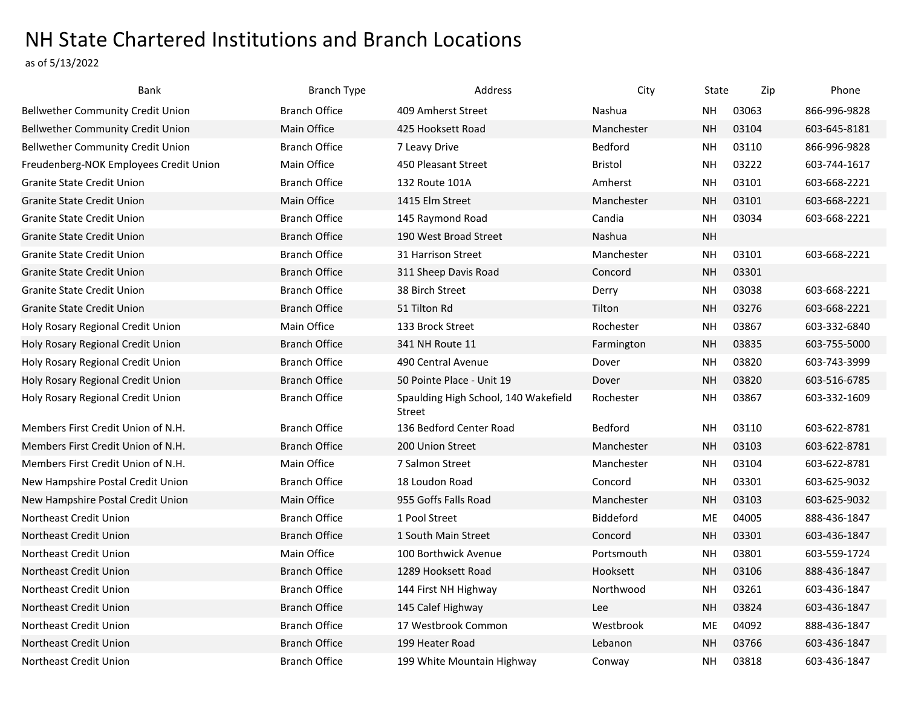## NH State Chartered Institutions and Branch Locations

as of 5/13/2022

| Bank                                     | <b>Branch Type</b>   | Address                                        | City             | State     | Zip   | Phone        |
|------------------------------------------|----------------------|------------------------------------------------|------------------|-----------|-------|--------------|
| <b>Bellwether Community Credit Union</b> | <b>Branch Office</b> | 409 Amherst Street                             | Nashua           | NΗ        | 03063 | 866-996-9828 |
| <b>Bellwether Community Credit Union</b> | Main Office          | 425 Hooksett Road                              | Manchester       | <b>NH</b> | 03104 | 603-645-8181 |
| <b>Bellwether Community Credit Union</b> | <b>Branch Office</b> | 7 Leavy Drive                                  | Bedford          | <b>NH</b> | 03110 | 866-996-9828 |
| Freudenberg-NOK Employees Credit Union   | Main Office          | 450 Pleasant Street                            | Bristol          | NΗ        | 03222 | 603-744-1617 |
| <b>Granite State Credit Union</b>        | <b>Branch Office</b> | 132 Route 101A                                 | Amherst          | NΗ        | 03101 | 603-668-2221 |
| <b>Granite State Credit Union</b>        | Main Office          | 1415 Elm Street                                | Manchester       | <b>NH</b> | 03101 | 603-668-2221 |
| <b>Granite State Credit Union</b>        | <b>Branch Office</b> | 145 Raymond Road                               | Candia           | <b>NH</b> | 03034 | 603-668-2221 |
| Granite State Credit Union               | <b>Branch Office</b> | 190 West Broad Street                          | Nashua           | <b>NH</b> |       |              |
| <b>Granite State Credit Union</b>        | <b>Branch Office</b> | 31 Harrison Street                             | Manchester       | <b>NH</b> | 03101 | 603-668-2221 |
| Granite State Credit Union               | <b>Branch Office</b> | 311 Sheep Davis Road                           | Concord          | <b>NH</b> | 03301 |              |
| <b>Granite State Credit Union</b>        | <b>Branch Office</b> | 38 Birch Street                                | Derry            | <b>NH</b> | 03038 | 603-668-2221 |
| Granite State Credit Union               | <b>Branch Office</b> | 51 Tilton Rd                                   | Tilton           | <b>NH</b> | 03276 | 603-668-2221 |
| Holy Rosary Regional Credit Union        | Main Office          | 133 Brock Street                               | Rochester        | NΗ        | 03867 | 603-332-6840 |
| Holy Rosary Regional Credit Union        | <b>Branch Office</b> | 341 NH Route 11                                | Farmington       | <b>NH</b> | 03835 | 603-755-5000 |
| Holy Rosary Regional Credit Union        | <b>Branch Office</b> | 490 Central Avenue                             | Dover            | <b>NH</b> | 03820 | 603-743-3999 |
| Holy Rosary Regional Credit Union        | <b>Branch Office</b> | 50 Pointe Place - Unit 19                      | Dover            | <b>NH</b> | 03820 | 603-516-6785 |
| Holy Rosary Regional Credit Union        | <b>Branch Office</b> | Spaulding High School, 140 Wakefield<br>Street | Rochester        | <b>NH</b> | 03867 | 603-332-1609 |
| Members First Credit Union of N.H.       | <b>Branch Office</b> | 136 Bedford Center Road                        | Bedford          | <b>NH</b> | 03110 | 603-622-8781 |
| Members First Credit Union of N.H.       | <b>Branch Office</b> | 200 Union Street                               | Manchester       | <b>NH</b> | 03103 | 603-622-8781 |
| Members First Credit Union of N.H.       | Main Office          | 7 Salmon Street                                | Manchester       | NΗ        | 03104 | 603-622-8781 |
| New Hampshire Postal Credit Union        | <b>Branch Office</b> | 18 Loudon Road                                 | Concord          | <b>NH</b> | 03301 | 603-625-9032 |
| New Hampshire Postal Credit Union        | Main Office          | 955 Goffs Falls Road                           | Manchester       | <b>NH</b> | 03103 | 603-625-9032 |
| Northeast Credit Union                   | <b>Branch Office</b> | 1 Pool Street                                  | <b>Biddeford</b> | <b>ME</b> | 04005 | 888-436-1847 |
| Northeast Credit Union                   | <b>Branch Office</b> | 1 South Main Street                            | Concord          | <b>NH</b> | 03301 | 603-436-1847 |
| Northeast Credit Union                   | Main Office          | 100 Borthwick Avenue                           | Portsmouth       | <b>NH</b> | 03801 | 603-559-1724 |
| Northeast Credit Union                   | <b>Branch Office</b> | 1289 Hooksett Road                             | Hooksett         | NΗ        | 03106 | 888-436-1847 |
| <b>Northeast Credit Union</b>            | <b>Branch Office</b> | 144 First NH Highway                           | Northwood        | NΗ        | 03261 | 603-436-1847 |
| Northeast Credit Union                   | <b>Branch Office</b> | 145 Calef Highway                              | <b>Lee</b>       | <b>NH</b> | 03824 | 603-436-1847 |
| Northeast Credit Union                   | <b>Branch Office</b> | 17 Westbrook Common                            | Westbrook        | ME        | 04092 | 888-436-1847 |
| Northeast Credit Union                   | <b>Branch Office</b> | 199 Heater Road                                | Lebanon          | <b>NH</b> | 03766 | 603-436-1847 |
| Northeast Credit Union                   | <b>Branch Office</b> | 199 White Mountain Highway                     | Conway           | NΗ        | 03818 | 603-436-1847 |